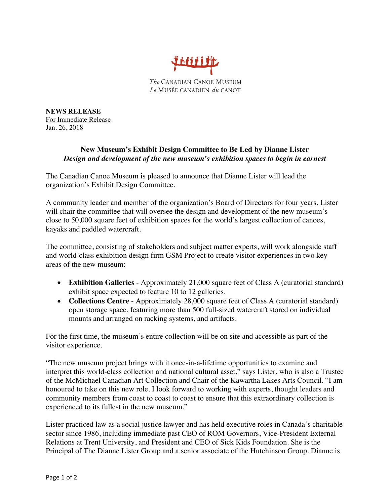

**NEWS RELEASE** For Immediate Release Jan. 26, 2018

## **New Museum's Exhibit Design Committee to Be Led by Dianne Lister** *Design and development of the new museum's exhibition spaces to begin in earnest*

The Canadian Canoe Museum is pleased to announce that Dianne Lister will lead the organization's Exhibit Design Committee.

A community leader and member of the organization's Board of Directors for four years, Lister will chair the committee that will oversee the design and development of the new museum's close to 50,000 square feet of exhibition spaces for the world's largest collection of canoes, kayaks and paddled watercraft.

The committee, consisting of stakeholders and subject matter experts, will work alongside staff and world-class exhibition design firm GSM Project to create visitor experiences in two key areas of the new museum:

- **Exhibition Galleries** Approximately 21,000 square feet of Class A (curatorial standard) exhibit space expected to feature 10 to 12 galleries.
- **Collections Centre** Approximately 28,000 square feet of Class A (curatorial standard) open storage space, featuring more than 500 full-sized watercraft stored on individual mounts and arranged on racking systems, and artifacts.

For the first time, the museum's entire collection will be on site and accessible as part of the visitor experience.

"The new museum project brings with it once-in-a-lifetime opportunities to examine and interpret this world-class collection and national cultural asset," says Lister, who is also a Trustee of the McMichael Canadian Art Collection and Chair of the Kawartha Lakes Arts Council. "I am honoured to take on this new role. I look forward to working with experts, thought leaders and community members from coast to coast to coast to ensure that this extraordinary collection is experienced to its fullest in the new museum."

Lister practiced law as a social justice lawyer and has held executive roles in Canada's charitable sector since 1986, including immediate past CEO of ROM Governors, Vice-President External Relations at Trent University, and President and CEO of Sick Kids Foundation. She is the Principal of The Dianne Lister Group and a senior associate of the Hutchinson Group. Dianne is